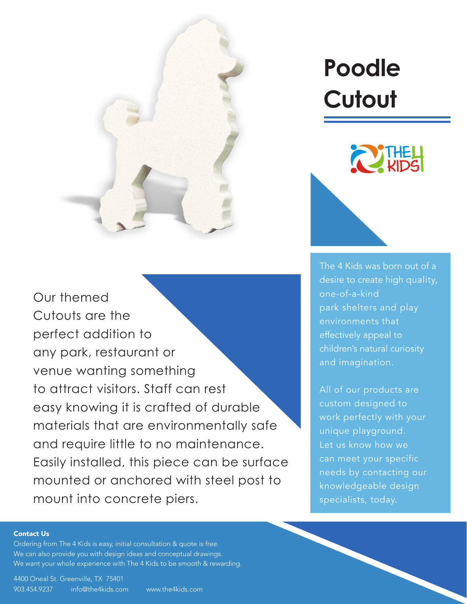

Our themed Cutouts are the perfect addition to any park, restaurant or venue wanting something to attract visitors. Staff can rest easy knowing it is crafted of durable materials that are environmentally safe and require little to no maintenance. Easily installed, this piece can be surface [mounted or anchored with steel post to](https://www.the4kids.com/product/poodle-cutout.html)  mount into concrete piers.

# **[Poodle](https://www.the4kids.com/products/pets/)  Cutout**



The 4 Kids was born out of a [desire to create high quality,](https://www.the4kids.com/about.html)  one-of-a-kind park shelters and play environments that effectively appeal to children's natural curiosity and imagination.

All of our products are custom designed to work perfectly with your unique playground. Let us know how we can meet your specific needs by contacting our knowledgeable design specialists, today.

#### [Contact Us](https://www.the4kids.com/contact-us.html)

Ordering from [The 4 Kids](https://www.the4kids.com/) is easy, initial consultation & quote is free. We can also provide you with design ideas and conceptual drawings. We want your whole experience with [The 4 Kids](https://www.the4kids.com/) to be smooth & rewarding.

[4400 Oneal St. Greenville, TX 75401](https://www.the4kids.com/contact-us.html) [903.454.9237](https://www.the4kids.com/contact-us.html) [info@the4kids.com](mailto:info%40the4kids.com?subject=) [www.the4kids.com](https://www.the4kids.com/)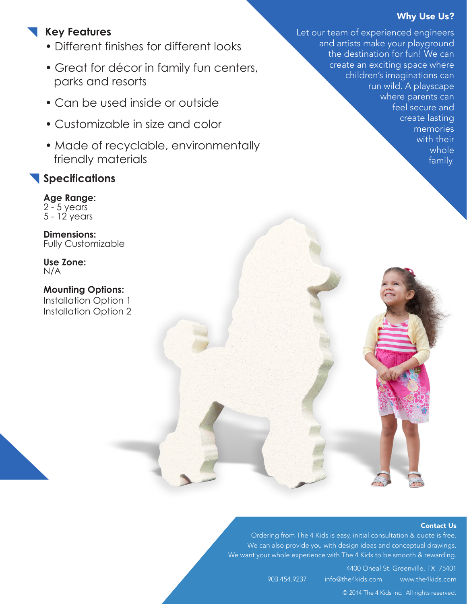#### Why Use Us?

family.

## **Key Features**

- Different finishes for different looks
- Great for décor in family fun centers, parks and resorts
- Can be used inside or outside
- Customizable in size and color
- Made of recyclable, environmentally friendly materials

## **Specifications**

### **Age Range:**

2 - 5 years 5 - 12 years

**Dimensions:**  Fully Customizable

**Use Zone:**  N/A

**Mounting Options:** [Installation Option 1](https://the4kids.com/doc/S4K-001.pdf) [Installation Option 2](https://the4kids.com/doc/S4K-002.pdf) Let our team of experienced engineers and artists make your playground the destination for fun! We can create an exciting space where children's imaginations can run wild. A playscape where parents can feel secure and create lasting memories with their whole

#### [Contact Us](https://www.the4kids.com/contact-us.html)

Ordering from [The 4 Kids](https://www.the4kids.com/) is easy, initial consultation & quote is free. We can also provide you with design ideas and conceptual drawings. We want your whole experience with [The 4 Kids t](https://www.the4kids.com/)o be smooth & rewarding.

> [4400 Oneal St. Greenville, TX 75401](https://www.the4kids.com/contact-us.html) [903.454.9237](https://www.the4kids.com/contact-us.html) [info@the4kids.com](mailto:info%40the4kids.com?subject=) [www.the4kids.com](https://www.the4kids.com/)

[© 2014 The 4 Kids Inc. All rights reserved.](https://www.the4kids.com/)